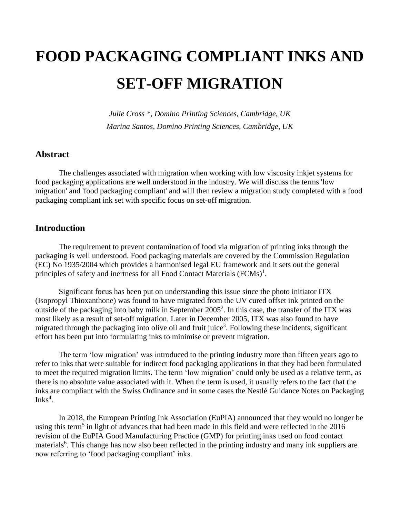# **FOOD PACKAGING COMPLIANT INKS AND SET-OFF MIGRATION**

*Julie Cross \*, Domino Printing Sciences, Cambridge, UK Marina Santos, Domino Printing Sciences, Cambridge, UK*

#### **Abstract**

The challenges associated with migration when working with low viscosity inkjet systems for food packaging applications are well understood in the industry. We will discuss the terms 'low migration' and 'food packaging compliant' and will then review a migration study completed with a food packaging compliant ink set with specific focus on set-off migration.

#### **Introduction**

The requirement to prevent contamination of food via migration of printing inks through the packaging is well understood. Food packaging materials are covered by the [Commission Regulation](https://eur-lex.europa.eu/legal-content/EN/TXT/?uri=CELEX:02004R1935-20090807)  [\(EC\) No 1935/2004](https://eur-lex.europa.eu/legal-content/EN/TXT/?uri=CELEX:02004R1935-20090807) which provides a harmonised legal EU framework and it sets out the general principles of safety and inertness for all Food Contact Materials  $(FCMS)^1$ .

Significant focus has been put on understanding this issue since the photo initiator ITX (Isopropyl Thioxanthone) was found to have migrated from the UV cured offset ink printed on the outside of the packaging into baby milk in September  $2005^2$ . In this case, the transfer of the ITX was most likely as a result of set-off migration. Later in December 2005, ITX was also found to have migrated through the packaging into olive oil and fruit juice<sup>3</sup>. Following these incidents, significant effort has been put into formulating inks to minimise or prevent migration.

The term 'low migration' was introduced to the printing industry more than fifteen years ago to refer to inks that were suitable for indirect food packaging applications in that they had been formulated to meet the required migration limits. The term 'low migration' could only be used as a relative term, as there is no absolute value associated with it. When the term is used, it usually refers to the fact that the inks are compliant with the Swiss Ordinance and in some cases the Nestlé Guidance Notes on Packaging Inks $4$ .

In 2018, the European Printing Ink Association (EuPIA) announced that they would no longer be using this term<sup>5</sup> in light of advances that had been made in this field and were reflected in the 2016 revision of the EuPIA Good Manufacturing Practice (GMP) for printing inks used on food contact materials<sup>6</sup>. This change has now also been reflected in the printing industry and many ink suppliers are now referring to 'food packaging compliant' inks.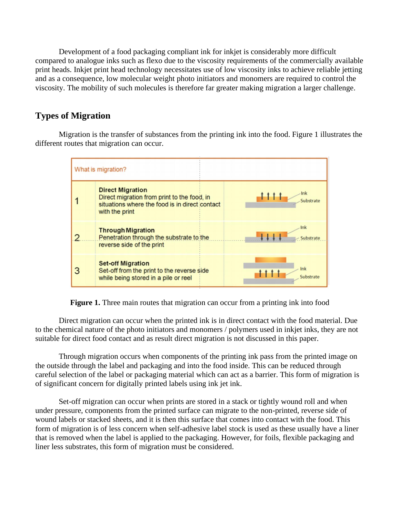Development of a food packaging compliant ink for inkjet is considerably more difficult compared to analogue inks such as flexo due to the viscosity requirements of the commercially available print heads. Inkjet print head technology necessitates use of low viscosity inks to achieve reliable jetting and as a consequence, low molecular weight photo initiators and monomers are required to control the viscosity. The mobility of such molecules is therefore far greater making migration a larger challenge.

# **Types of Migration**

Migration is the transfer of substances from the printing ink into the food. Figure 1 illustrates the different routes that migration can occur.



**Figure 1.** Three main routes that migration can occur from a printing ink into food

Direct migration can occur when the printed ink is in direct contact with the food material. Due to the chemical nature of the photo initiators and monomers / polymers used in inkjet inks, they are not suitable for direct food contact and as result direct migration is not discussed in this paper.

Through migration occurs when components of the printing ink pass from the printed image on the outside through the label and packaging and into the food inside. This can be reduced through careful selection of the label or packaging material which can act as a barrier. This form of migration is of significant concern for digitally printed labels using ink jet ink.

Set-off migration can occur when prints are stored in a stack or tightly wound roll and when under pressure, components from the printed surface can migrate to the non-printed, reverse side of wound labels or stacked sheets, and it is then this surface that comes into contact with the food. This form of migration is of less concern when self-adhesive label stock is used as these usually have a liner that is removed when the label is applied to the packaging. However, for foils, flexible packaging and liner less substrates, this form of migration must be considered.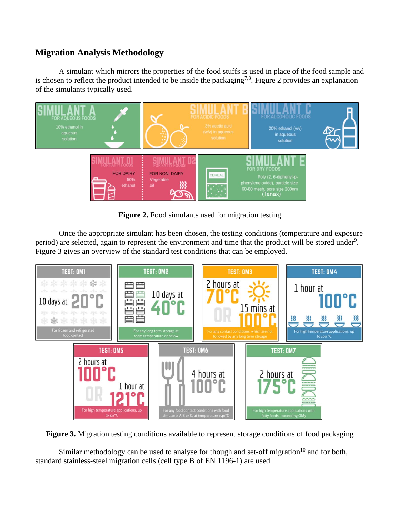## **Migration Analysis Methodology**

A simulant which mirrors the properties of the food stuffs is used in place of the food sample and is chosen to reflect the product intended to be inside the packaging<sup>7,8</sup>. Figure 2 provides an explanation of the simulants typically used.



**Figure 2.** Food simulants used for migration testing

Once the appropriate simulant has been chosen, the testing conditions (temperature and exposure period) are selected, again to represent the environment and time that the product will be stored under<sup>9</sup>. Figure 3 gives an overview of the standard test conditions that can be employed.



**Figure 3.** Migration testing conditions available to represent storage conditions of food packaging

Similar methodology can be used to analyse for though and set-off migration<sup>10</sup> and for both, standard stainless-steel migration cells (cell type B of EN 1196-1) are used.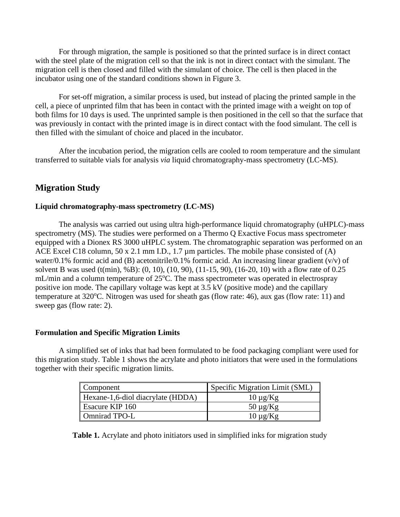For through migration, the sample is positioned so that the printed surface is in direct contact with the steel plate of the migration cell so that the ink is not in direct contact with the simulant. The migration cell is then closed and filled with the simulant of choice. The cell is then placed in the incubator using one of the standard conditions shown in Figure 3.

For set-off migration, a similar process is used, but instead of placing the printed sample in the cell, a piece of unprinted film that has been in contact with the printed image with a weight on top of both films for 10 days is used. The unprinted sample is then positioned in the cell so that the surface that was previously in contact with the printed image is in direct contact with the food simulant. The cell is then filled with the simulant of choice and placed in the incubator.

After the incubation period, the migration cells are cooled to room temperature and the simulant transferred to suitable vials for analysis *via* liquid chromatography-mass spectrometry (LC-MS).

## **Migration Study**

#### **Liquid chromatography-mass spectrometry (LC-MS)**

The analysis was carried out using ultra high-performance liquid chromatography (uHPLC)-mass spectrometry (MS). The studies were performed on a Thermo Q Exactive Focus mass spectrometer equipped with a Dionex RS 3000 uHPLC system. The chromatographic separation was performed on an ACE Excel C18 column, 50 x 2.1 mm I.D., 1.7 µm particles. The mobile phase consisted of (A) water/0.1% formic acid and (B) acetonitrile/0.1% formic acid. An increasing linear gradient (v/v) of solvent B was used (t(min), %B): (0, 10), (10, 90), (11-15, 90), (16-20, 10) with a flow rate of 0.25 mL/min and a column temperature of  $25^{\circ}$ C. The mass spectrometer was operated in electrospray positive ion mode. The capillary voltage was kept at 3.5 kV (positive mode) and the capillary temperature at  $320^{\circ}$ C. Nitrogen was used for sheath gas (flow rate: 46), aux gas (flow rate: 11) and sweep gas (flow rate: 2).

#### **Formulation and Specific Migration Limits**

A simplified set of inks that had been formulated to be food packaging compliant were used for this migration study. Table 1 shows the acrylate and photo initiators that were used in the formulations together with their specific migration limits.

| Component                         | Specific Migration Limit (SML) |  |  |  |
|-----------------------------------|--------------------------------|--|--|--|
| Hexane-1,6-diol diacrylate (HDDA) | $10 \mu g/Kg$                  |  |  |  |
| Esacure KIP 160                   | $50 \mu g/Kg$                  |  |  |  |
| Omnirad TPO-L                     | $10 \mu g/Kg$                  |  |  |  |

**Table 1.** Acrylate and photo initiators used in simplified inks for migration study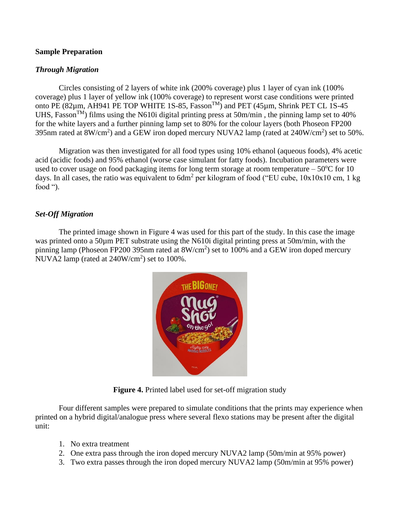#### **Sample Preparation**

#### *Through Migration*

Circles consisting of 2 layers of white ink (200% coverage) plus 1 layer of cyan ink (100% coverage) plus 1 layer of yellow ink (100% coverage) to represent worst case conditions were printed onto PE  $(82 \mu m, AH941$  PE TOP WHITE 1S-85, Fasson<sup>TM</sup>) and PET  $(45 \mu m, Shrink$  PET CL 1S-45 UHS, Fasson<sup>TM</sup>) films using the N610i digital printing press at 50m/min, the pinning lamp set to 40% for the white layers and a further pinning lamp set to 80% for the colour layers (both Phoseon FP200 395nm rated at 8W/cm<sup>2</sup>) and a GEW iron doped mercury NUVA2 lamp (rated at  $240W/cm<sup>2</sup>$ ) set to 50%.

Migration was then investigated for all food types using 10% ethanol (aqueous foods), 4% acetic acid (acidic foods) and 95% ethanol (worse case simulant for fatty foods). Incubation parameters were used to cover usage on food packaging items for long term storage at room temperature  $-50^{\circ}$ C for 10 days. In all cases, the ratio was equivalent to  $6dm^2$  per kilogram of food ("EU cube,  $10x10x10$  cm, 1 kg food ").

## *Set-Off Migration*

The printed image shown in Figure 4 was used for this part of the study. In this case the image was printed onto a 50 $\mu$ m PET substrate using the N610i digital printing press at 50m/min, with the pinning lamp (Phoseon FP200 395nm rated at  $8W/cm<sup>2</sup>$ ) set to 100% and a GEW iron doped mercury NUVA2 lamp (rated at  $240W/cm<sup>2</sup>$ ) set to  $100\%$ .



**Figure 4.** Printed label used for set-off migration study

Four different samples were prepared to simulate conditions that the prints may experience when printed on a hybrid digital/analogue press where several flexo stations may be present after the digital unit:

- 1. No extra treatment
- 2. One extra pass through the iron doped mercury NUVA2 lamp (50m/min at 95% power)
- 3. Two extra passes through the iron doped mercury NUVA2 lamp (50m/min at 95% power)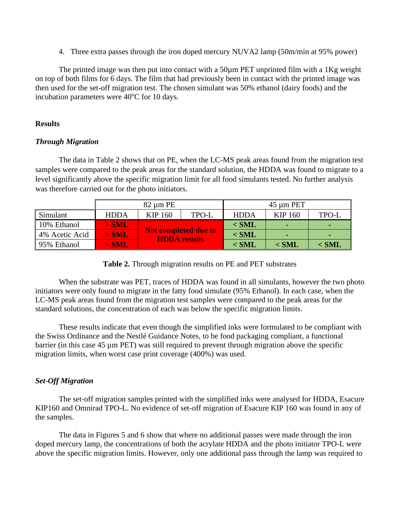4. Three extra passes through the iron doped mercury NUVA2 lamp (50m/min at 95% power)

The printed image was then put into contact with a  $50\mu$ m PET unprinted film with a  $1\text{Kg}$  weight on top of both films for 6 days. The film that had previously been in contact with the printed image was then used for the set-off migration test. The chosen simulant was 50% ethanol (dairy foods) and the incubation parameters were 40°C for 10 days.

#### **Results**

#### *Through Migration*

The data in Table 2 shows that on PE, when the LC-MS peak areas found from the migration test samples were compared to the peak areas for the standard solution, the HDDA was found to migrate to a level significantly above the specific migration limit for all food simulants tested. No further analysis was therefore carried out for the photo initiators.

|                | 82 um PE    |                                                    |              | 45 um PET   |         |         |
|----------------|-------------|----------------------------------------------------|--------------|-------------|---------|---------|
| Simulant       | <b>HDDA</b> | KIP 160                                            | <b>TPO-L</b> | <b>HDDA</b> | KIP 160 | TPO-L   |
| 10% Ethanol    | $>$ SML     | <b>Not completed due to</b><br><b>HDDA</b> results |              | $<$ SML     |         |         |
| 4% Acetic Acid | $>$ SML     |                                                    |              | $<$ SML     |         |         |
| 95% Ethanol    | $>$ SML     |                                                    |              | $<$ SML     | $<$ SML | $<$ SML |

**Table 2.** Through migration results on PE and PET substrates

When the substrate was PET, traces of HDDA was found in all simulants, however the two photo initiators were only found to migrate in the fatty food simulate (95% Ethanol). In each case, when the LC-MS peak areas found from the migration test samples were compared to the peak areas for the standard solutions, the concentration of each was below the specific migration limits.

These results indicate that even though the simplified inks were formulated to be compliant with the Swiss Ordinance and the Nestlé Guidance Notes, to be food packaging compliant, a functional barrier (in this case 45 µm PET) was still required to prevent through migration above the specific migration limits, when worst case print coverage (400%) was used.

## *Set-Off Migration*

The set-off migration samples printed with the simplified inks were analysed for HDDA, Esacure KIP160 and Omnirad TPO-L. No evidence of set-off migration of Esacure KIP 160 was found in any of the samples.

The data in Figures 5 and 6 show that where no additional passes were made through the iron doped mercury lamp, the concentrations of both the acrylate HDDA and the photo initiator TPO-L were above the specific migration limits. However, only one additional pass through the lamp was required to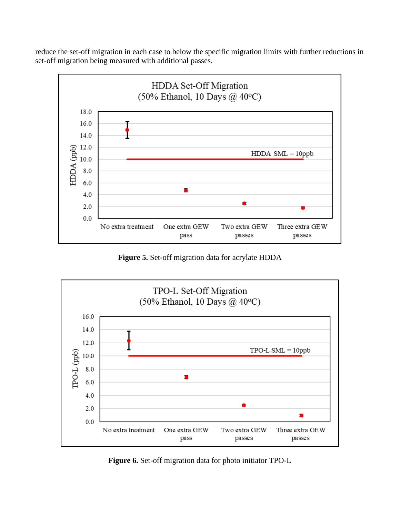reduce the set-off migration in each case to below the specific migration limits with further reductions in set-off migration being measured with additional passes.



**Figure 5.** Set-off migration data for acrylate HDDA



**Figure 6.** Set-off migration data for photo initiator TPO-L